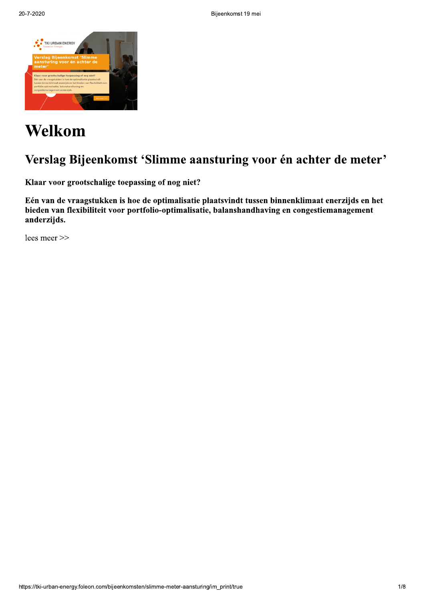

# Welkom

## Verslag Bijeenkomst 'Slimme aansturing voor én achter de meter'

Klaar voor grootschalige toepassing of nog niet?

Eén van de vraagstukken is hoe de optimalisatie plaatsvindt tussen binnenklimaat enerzijds en het bieden van flexibiliteit voor portfolio-optimalisatie, balanshandhaving en congestiemanagement anderzijds.

lees meer >>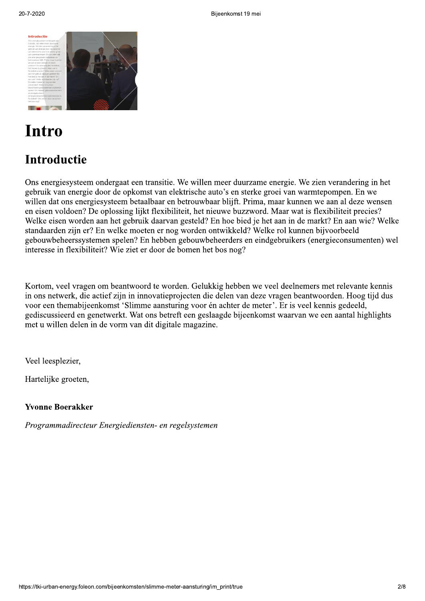

# **Intro**

**Example 18 Alternative Control Control Control Control Control Control Control Control Control Control Control Control Control Control Control Control Control Control Control Control Control Control Control Control Contro** Ons energiesysteem ondergaat een transitie. We willen meer duurzame energie. We zien verandering in het gebruik van energie door de opkomst van elektrische auto's en sterke groei van warmtepompen. En we willen dat ons energiesysteem betaalbaar en betrouwbaar blijft. Prima, maar kunnen we aan al deze wensen en eisen voldoen? De oplossing lijkt flexibiliteit, het nieuwe buzzword. Maar wat is flexibiliteit precies? Welke eisen worden aan het gebruik daarvan gesteld? En hoe bied je het aan in de markt? En aan wie? Welke standaarden zijn er? En welke moeten er nog worden ontwikkeld? Welke rol kunnen bijvoorbeeld gebouwbeheerssystemen spelen? En hebben gebouwbeheerders en eindgebruikers (energieconsumenten) wel interesse in flexibiliteit? Wie ziet er door de bomen het bos nog?

Kortom, veel vragen om beantwoord te worden. Gelukkig hebben we veel deelnemers met relevante kennis in ons netwerk, die actief zijn in innovatieprojecten die delen van deze vragen beantwoorden. Hoog tijd dus voor een themabijeenkomst 'Slimme aansturing voor én achter de meter'. Er is veel kennis gedeeld, gediscussieerd en genetwerkt. Wat ons betreft een geslaagde bijeenkomst waarvan we een aantal highlights met u willen delen in de vorm van dit digitale magazine.

Veel leesplezier,

Hartelijke groeten,

#### **Yvonne Boerakker**

Programmadirecteur Energiediensten- en regelsystemen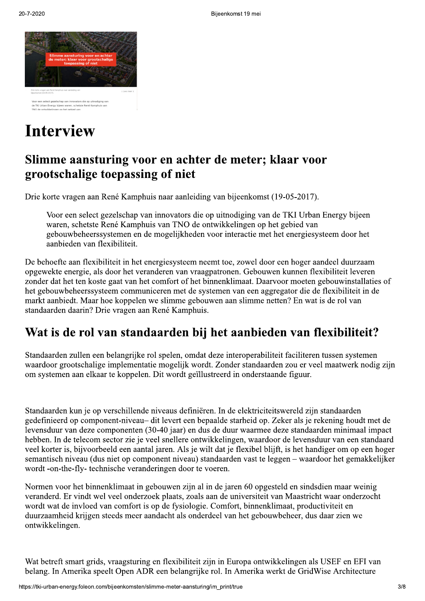

# **Interview**

## Slimme aansturing voor en achter de meter; klaar voor grootschalige toepassing of niet

Drie korte vragen aan René Kamphuis naar aanleiding van bijeenkomst (19-05-2017).

Voor een select gezelschap van innovators die op uitnodiging van de TKI Urban Energy bijeen waren, schetste René Kamphuis van TNO de ontwikkelingen op het gebied van gebouwbeheerssystemen en de mogelijkheden voor interactie met het energiesysteem door het aanbieden van flexibiliteit.

De behoefte aan flexibiliteit in het energiesysteem neemt toe, zowel door een hoger aandeel duurzaam opgewekte energie, als door het veranderen van vraagpatronen. Gebouwen kunnen flexibiliteit leveren zonder dat het ten koste gaat van het comfort of het binnenklimaat. Daarvoor moeten gebouwinstallaties of het gebouwbeheerssysteem communiceren met de systemen van een aggregator die de flexibiliteit in de markt aanbiedt. Maar hoe koppelen we slimme gebouwen aan slimme netten? En wat is de rol van standaarden daarin? Drie vragen aan René Kamphuis.

## Wat is de rol van standaarden bij het aanbieden van flexibiliteit?

Standaarden zullen een belangrijke rol spelen, omdat deze interoperabiliteit faciliteren tussen systemen waardoor grootschalige implementatie mogelijk wordt. Zonder standaarden zou er veel maatwerk nodig zijn om systemen aan elkaar te koppelen. Dit wordt geïllustreerd in onderstaande figuur.

Standaarden kun je op verschillende niveaus definiëren. In de elektriciteitswereld zijn standaarden gedefinieerd op component-niveau- dit levert een bepaalde starheid op. Zeker als je rekening houdt met de levensduur van deze componenten (30-40 jaar) en dus de duur waarmee deze standaarden minimaal impact hebben. In de telecom sector zie je veel snellere ontwikkelingen, waardoor de levensduur van een standaard veel korter is, bijvoorbeeld een aantal jaren. Als je wilt dat je flexibel blijft, is het handiger om op een hoger semantisch niveau (dus niet op component niveau) standaarden vast te leggen – waardoor het gemakkelijker wordt -on-the-fly- technische veranderingen door te voeren.

Normen voor het binnenklimaat in gebouwen zijn al in de jaren 60 opgesteld en sindsdien maar weinig veranderd. Er vindt wel veel onderzoek plaats, zoals aan de universiteit van Maastricht waar onderzocht wordt wat de invloed van comfort is op de fysiologie. Comfort, binnenklimaat, productiviteit en duurzaamheid krijgen steeds meer aandacht als onderdeel van het gebouwbeheer, dus daar zien we ontwikkelingen.

Wat betreft smart grids, vraagsturing en flexibiliteit zijn in Europa ontwikkelingen als USEF en EFI van belang. In Amerika speelt Open ADR een belangrijke rol. In Amerika werkt de GridWise Architecture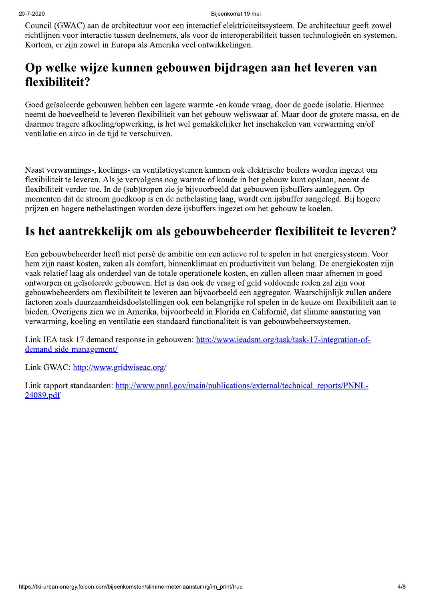Council (GWAC) aan de architectuur voor een interactief elektriciteitssysteem. De architectuur geeft zowel richtlijnen voor interactie tussen deelnemers, als voor de interoperabiliteit tussen technologieën en systemen. Kortom, er zijn zowel in Europa als Amerika veel ontwikkelingen.

### Op welke wijze kunnen gebouwen bijdragen aan het leveren van flexibiliteit?

Goed geïsoleerde gebouwen hebben een lagere warmte -en koude vraag, door de goede isolatie. Hiermee neemt de hoeveelheid te leveren flexibiliteit van het gebouw weliswaar af. Maar door de grotere massa, en de daarmee tragere afkoeling/opwerking, is het wel gemakkelijker het inschakelen van verwarming en/of ventilatie en airco in de tijd te verschuiven.

Naast verwarmings-, koelings- en ventilatievstemen kunnen ook elektrische boilers worden ingezet om flexibiliteit te leveren. Als je vervolgens nog warmte of koude in het gebouw kunt opslaan, neemt de flexibiliteit verder toe. In de (sub)tropen zie je bijvoorbeeld dat gebouwen ijsbuffers aanleggen. Op momenten dat de stroom goedkoop is en de netbelasting laag, wordt een ijsbuffer aangelegd. Bij hogere prijzen en hogere netbelastingen worden deze ijsbuffers ingezet om het gebouw te koelen.

## Is het aantrekkelijk om als gebouwbeheerder flexibiliteit te leveren?

Een gebouwbeheerder heeft niet persé de ambitie om een actieve rol te spelen in het energiesysteem. Voor hem zijn naast kosten, zaken als comfort, binnenklimaat en productiviteit van belang. De energiekosten zijn vaak relatief laag als onderdeel van de totale operationele kosten, en zullen alleen maar afnemen in goed ontworpen en geïsoleerde gebouwen. Het is dan ook de vraag of geld voldoende reden zal zijn voor gebouwbeheerders om flexibiliteit te leveren aan bijvoorbeeld een aggregator. Waarschijnlijk zullen andere factoren zoals duurzaamheidsdoelstellingen ook een belangrijke rol spelen in de keuze om flexibiliteit aan te bieden. Overigens zien we in Amerika, bijvoorbeeld in Florida en Californië, dat slimme aansturing van verwarming, koeling en ventilatie een standaard functionaliteit is van gebouwbeheerssystemen.

Link IEA task 17 demand response in gebouwen: http://www.ieadsm.org/task/task-17-integration-ofdemand-side-management/

Link GWAC: http://www.gridwiseac.org/

Link rapport standaarden: http://www.pnnl.gov/main/publications/external/technical\_reports/PNNL-24089.pdf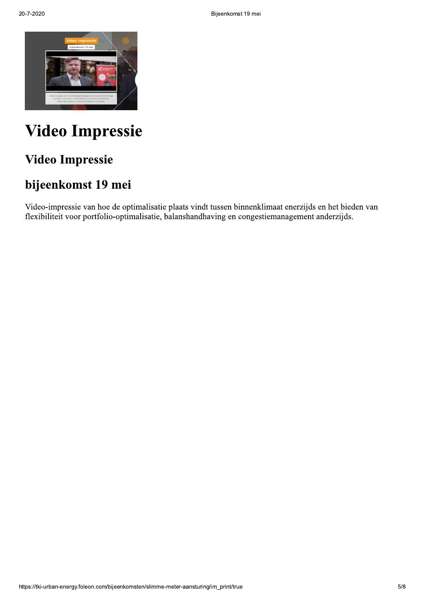

# **Video Impressie**

## **Video Impressie**

## bijeenkomst 19 mei

Video-impressie van hoe de optimalisatie plaats vindt tussen binnenklimaat enerzijds en het bieden van flexibiliteit voor portfolio-optimalisatie, balanshandhaving en congestiemanagement anderzijds.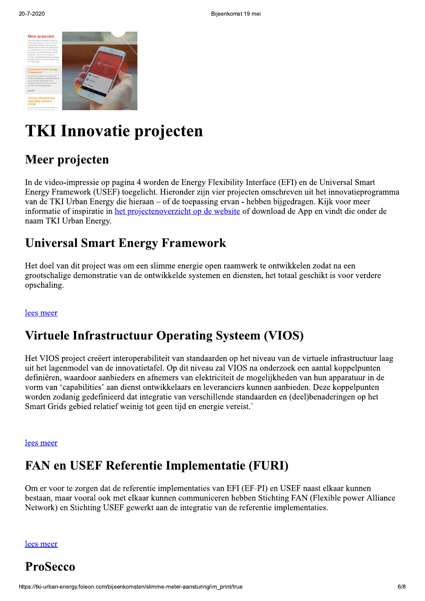

Bijvonkomst 19 moi<br> **Expression Contains and Contains and Contains and Contains and Contains and Contains and Contains and Contains and Contains and Contains and Contains and Contains and Contains and Contains and Contains** In de video-impressie op pagina 4 worden de Energy Flexibility Interface (EFI) en de Universal Smart Energy Framework (USEF) to egelicht. Hieronder zijn vier projecten omschreven uit het innovatieprogramma van de TKI Urban Energy die hieraan – of de toepassing ervan - hebben bijgedragen. Kijk voor meer informatie of inspiratie in het projectenoverzicht op de website of download de App en vindt die onder de naam TKI Urban Energy. **TKI Innovatie projecten**<br>
Meer projecten<br>
In de video-impressie op pagina 4 worden de Energy Flexibility Interface (EFI) en de Univ<br>
Energy Framework (USEF) toegelicht. Hieronder zijn vier projecten omschreven uit het in<br>

Het doel van dit project was om een slimme energie open raamwerk te ontwikkelen zodat na een grootschalige demonstratie van de ontwikkelde systemen en diensten, het totaal geschikt is voor verdere opschaling.

### lees meer

## Virtuele Infrastructuur Operating Systeem (VIOS)

Het VIOS project creëert interoperabiliteit van standaarden op het niveau van de virtuele infrastructuur laag uit het lagenmodel van de innovatietafel. Op dit niveau zal VIOS na onderzoek een aantal koppelpunten definiëren, waardoor aanbieders en afnemers van elektriciteit de mogelijkheden van hun apparatuur in de vorm van 'capabilities' aan dienst ontwikkelaars en leveranciers kunnen aanbieden. Deze koppelpunten worden zodanig gedefinieerd dat integratie van verschillende standaarden en (deel)benaderingen op het Smart Grids gebied relatief weinig tot geen tijd en energie vereist.

#### lees meer

## FAN en USEF Referentie Implementatie (FURI)

Om er voor te zorgen dat de referentie implementaties van EFI (EF-PI) en USEF naast elkaar kunnen bestaan, maar vooral ook met elkaar kunnen communiceren hebben Stichting FAN (Flexible power Alliance Network) en Stichting USEF gewerkt aan de integratie van de referentie implementaties. FAN en USEF Referentie Imple<br>
Om er voor te zorgen dat de referentie implementa<br>
bestaan, maar vooral ook met elkaar kunnen comm<br>
Network) en Stichting USEF gewerkt aan de integ<br>
<u>lees meer</u><br>
ProSecco<br>
https://tki-urban-en

lees meer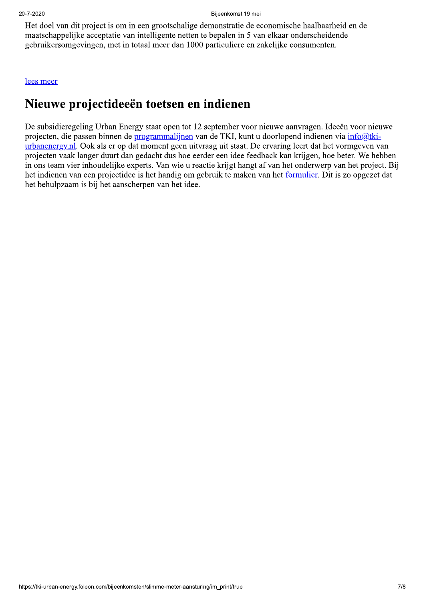Het doel van dit project is om in een grootschalige demonstratie de economische haalbaarheid en de maatschappelijke acceptatie van intelligente netten te bepalen in 5 van elkaar onderscheidende gebruikersomgevingen, met in totaal meer dan 1000 particuliere en zakelijke consumenten.

#### lees meer

### Nieuwe projectideeën toetsen en indienen

De subsidieregeling Urban Energy staat open tot 12 september voor nieuwe aanvragen. Ideeën voor nieuwe projecten, die passen binnen de programmalijnen van de TKI, kunt u doorlopend indienen via info@tkiurbanenergy, nl. Ook als er op dat moment geen uitvraag uit staat. De ervaring leert dat het vormgeven van projecten vaak langer duurt dan gedacht dus hoe eerder een idee feedback kan krijgen, hoe beter. We hebben in ons team vier inhoudelijke experts. Van wie u reactie krijgt hangt af van het onderwerp van het project. Bij het indienen van een projectidee is het handig om gebruik te maken van het formulier. Dit is zo opgezet dat het behulpzaam is bij het aanscherpen van het idee.